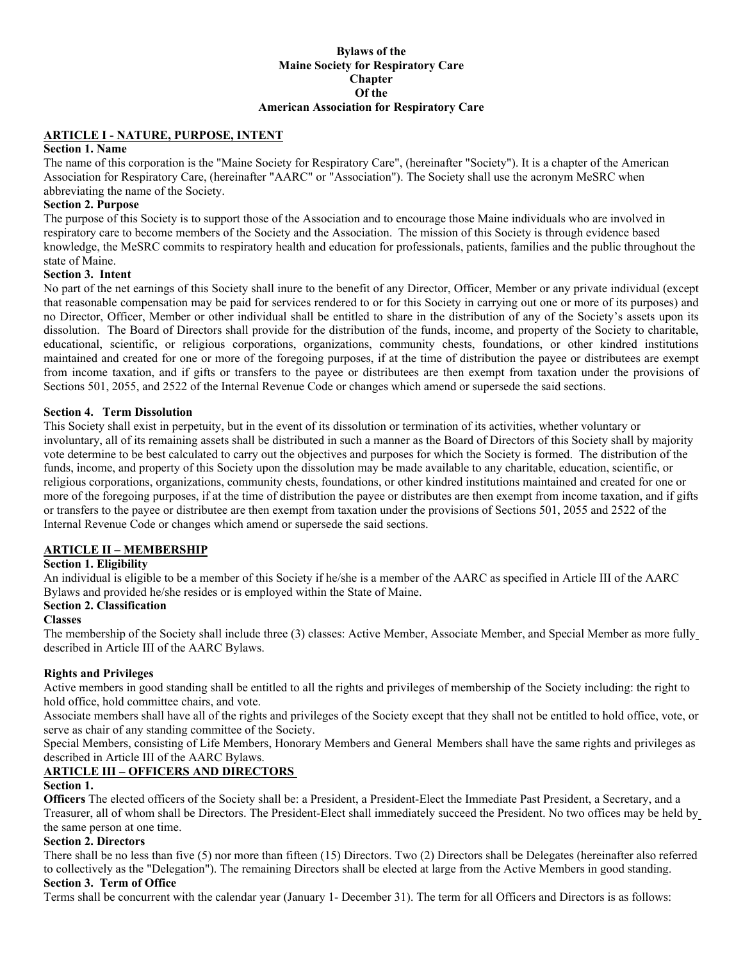# **Maine Society for Respiratory Care Chapter Of the American Association for Respiratory Care**

#### **ARTICLE I - NATURE, PURPOSE, INTENT**

### **Section 1. Name**

Bylaws of the<br> **Bylaws of the**<br> **DRAFFICLE I - NATURE, PURPOSE, INTENT**<br> **DRAFFICULE I - NATURE, PURPOSE, INTENT**<br> **DRAFFICULE I - NATURE, PURPOSE, INTENT**<br>
The name of this corporation is the "Maine Society for Respirator The name of this corporation is the "Maine Society for Respiratory Care", (hereinafter "Society"). It is a chapter of the American Association for Respiratory Care, (hereinafter "AARC" or "Association"). The Society shall use the acronym MeSRC when abbreviating the name of the Society.

#### **Section 2. Purpose**

The purpose of this Society is to support those of the Association and to encourage those Maine individuals who are involved in respiratory care to become members of the Society and the Association. The mission of this Society is through evidence based knowledge, the MeSRC commits to respiratory health and education for professionals, patients, families and the public throughout the state of Maine.

#### **Section 3. Intent**

No part of the net earnings of this Society shall inure to the benefit of any Director, Officer, Member or any private individual (except that reasonable compensation may be paid for services rendered to or for this Society in carrying out one or more of its purposes) and no Director, Officer, Member or other individual shall be entitled to share in the distribution of any of the Society's assets upon its dissolution. The Board of Directors shall provide for the distribution of the funds, income, and property of the Society to charitable, educational, scientific, or religious corporations, organizations, community chests, foundations, or other kindred institutions maintained and created for one or more of the foregoing purposes, if at the time of distribution the payee or distributees are exempt from income taxation, and if gifts or transfers to the payee or distributees are then exempt from taxation under the provisions of Sections 501, 2055, and 2522 of the Internal Revenue Code or changes which amend or supersede the said sections.

#### **Section 4. Term Dissolution**

This Society shall exist in perpetuity, but in the event of its dissolution or termination of its activities, whether voluntary or involuntary, all of its remaining assets shall be distributed in such a manner as the Board of Directors of this Society shall by majority vote determine to be best calculated to carry out the objectives and purposes for which the Society is formed. The distribution of the funds, income, and property of this Society upon the dissolution may be made available to any charitable, education, scientific, or religious corporations, organizations, community chests, foundations, or other kindred institutions maintained and created for one or more of the foregoing purposes, if at the time of distribution the payee or distributes are then exempt from income taxation, and if gifts or transfers to the payee or distributee are then exempt from taxation under the provisions of Sections 501, 2055 and 2522 of the Internal Revenue Code or changes which amend or supersede the said sections.

#### **ARTICLE II – MEMBERSHIP**

#### **Section 1. Eligibility**

An individual is eligible to be a member of this Society if he/she is a member of the AARC as specified in Article III of the AARC Bylaws and provided he/she resides or is employed within the State of Maine.

#### **Section 2. Classification**

#### **Classes**

The membership of the Society shall include three (3) classes: Active Member, Associate Member, and Special Member as more fully described in Article III of the AARC Bylaws.

#### **Rights and Privileges**

Active members in good standing shall be entitled to all the rights and privileges of membership of the Society including: the right to hold office, hold committee chairs, and vote.

Associate members shall have all of the rights and privileges of the Society except that they shall not be entitled to hold office, vote, or serve as chair of any standing committee of the Society.

Special Members, consisting of Life Members, Honorary Members and General Members shall have the same rights and privileges as described in Article III of the AARC Bylaws.

#### **ARTICLE III – OFFICERS AND DIRECTORS**

#### **Section 1.**

**Officers** The elected officers of the Society shall be: a President, a President-Elect the Immediate Past President, a Secretary, and a Treasurer, all of whom shall be Directors. The President-Elect shall immediately succeed the President. No two offices may be held by the same person at one time.

#### **Section 2. Directors**

There shall be no less than five (5) nor more than fifteen (15) Directors. Two (2) Directors shall be Delegates (hereinafter also referred to collectively as the "Delegation"). The remaining Directors shall be elected at large from the Active Members in good standing. **Section 3. Term of Office**

Terms shall be concurrent with the calendar year (January 1- December 31). The term for all Officers and Directors is as follows: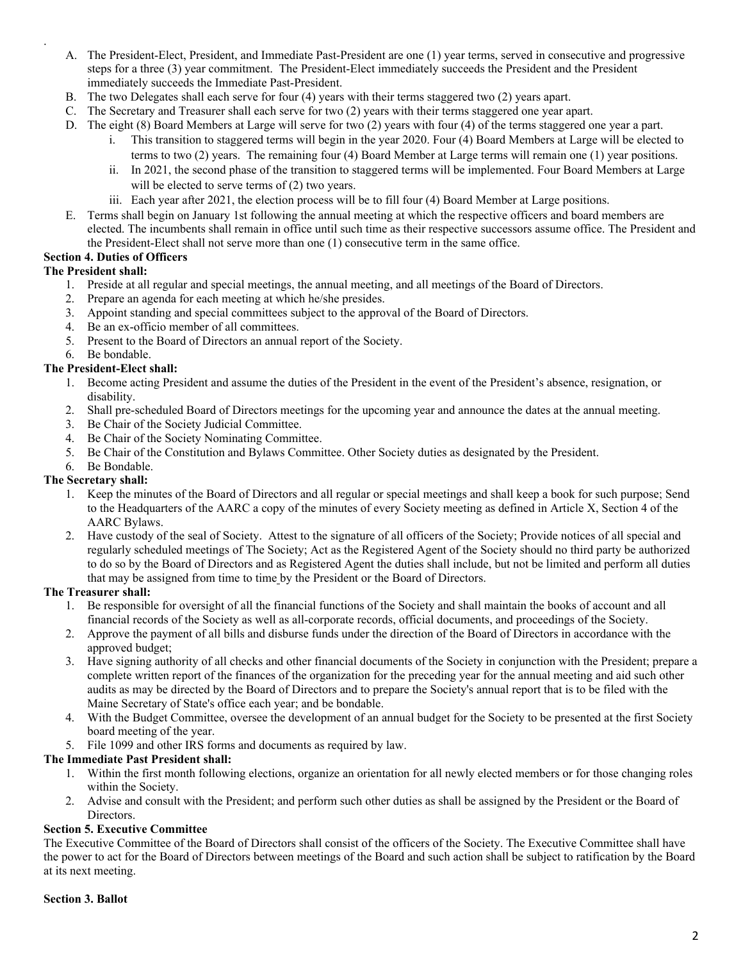- . A. The President-Elect, President, and Immediate Past-President are one (1) year terms, served in consecutive and progressive steps for a three (3) year commitment. The President-Elect immediately succeeds the President and the President immediately succeeds the Immediate Past-President.
- B. The two Delegates shall each serve for four (4) years with their terms staggered two (2) years apart.
- C. The Secretary and Treasurer shall each serve for two (2) years with their terms staggered one year apart.
- D. The eight (8) Board Members at Large will serve for two (2) years with four (4) of the terms staggered one year a part.
	- i. This transition to staggered terms will begin in the year 2020. Four (4) Board Members at Large will be elected to
	- terms to two (2) years. The remaining four (4) Board Member at Large terms will remain one (1) year positions. ii. In 2021, the second phase of the transition to staggered terms will be implemented. Four Board Members at Large will be elected to serve terms of  $(2)$  two years.
	- iii. Each year after 2021, the election process will be to fill four (4) Board Member at Large positions.
- E. Terms shall begin on January 1st following the annual meeting at which the respective officers and board members are elected. The incumbents shall remain in office until such time as their respective successors assume office. The President and the President-Elect shall not serve more than one (1) consecutive term in the same office.

### **Section 4. Duties of Officers**

### **The President shall:**

- 1. Preside at all regular and special meetings, the annual meeting, and all meetings of the Board of Directors.
- 2. Prepare an agenda for each meeting at which he/she presides.
- 3. Appoint standing and special committees subject to the approval of the Board of Directors.
- 4. Be an ex-officio member of all committees.
- 5. Present to the Board of Directors an annual report of the Society.
- 6. Be bondable.

#### **The President-Elect shall:**

- 1. Become acting President and assume the duties of the President in the event of the President's absence, resignation, or disability.
- 2. Shall pre-scheduled Board of Directors meetings for the upcoming year and announce the dates at the annual meeting.
- 3. Be Chair of the Society Judicial Committee.
- 4. Be Chair of the Society Nominating Committee.
- 5. Be Chair of the Constitution and Bylaws Committee. Other Society duties as designated by the President.
- 6. Be Bondable.

#### **The Secretary shall:**

- 1. Keep the minutes of the Board of Directors and all regular or special meetings and shall keep a book for such purpose; Send to the Headquarters of the AARC a copy of the minutes of every Society meeting as defined in Article X, Section 4 of the AARC Bylaws.
- 2. Have custody of the seal of Society. Attest to the signature of all officers of the Society; Provide notices of all special and regularly scheduled meetings of The Society; Act as the Registered Agent of the Society should no third party be authorized to do so by the Board of Directors and as Registered Agent the duties shall include, but not be limited and perform all duties that may be assigned from time to time by the President or the Board of Directors.

#### **The Treasurer shall:**

- 1. Be responsible for oversight of all the financial functions of the Society and shall maintain the books of account and all financial records of the Society as well as all-corporate records, official documents, and proceedings of the Society.
- 2. Approve the payment of all bills and disburse funds under the direction of the Board of Directors in accordance with the approved budget;
- 3. Have signing authority of all checks and other financial documents of the Society in conjunction with the President; prepare a complete written report of the finances of the organization for the preceding year for the annual meeting and aid such other audits as may be directed by the Board of Directors and to prepare the Society's annual report that is to be filed with the Maine Secretary of State's office each year; and be bondable.
- 4. With the Budget Committee, oversee the development of an annual budget for the Society to be presented at the first Society board meeting of the year.
- 5. File 1099 and other IRS forms and documents as required by law.

#### **The Immediate Past President shall:**

- 1. Within the first month following elections, organize an orientation for all newly elected members or for those changing roles within the Society.
- 2. Advise and consult with the President; and perform such other duties as shall be assigned by the President or the Board of **Directors**

### **Section 5. Executive Committee**

The Executive Committee of the Board of Directors shall consist of the officers of the Society. The Executive Committee shall have the power to act for the Board of Directors between meetings of the Board and such action shall be subject to ratification by the Board at its next meeting.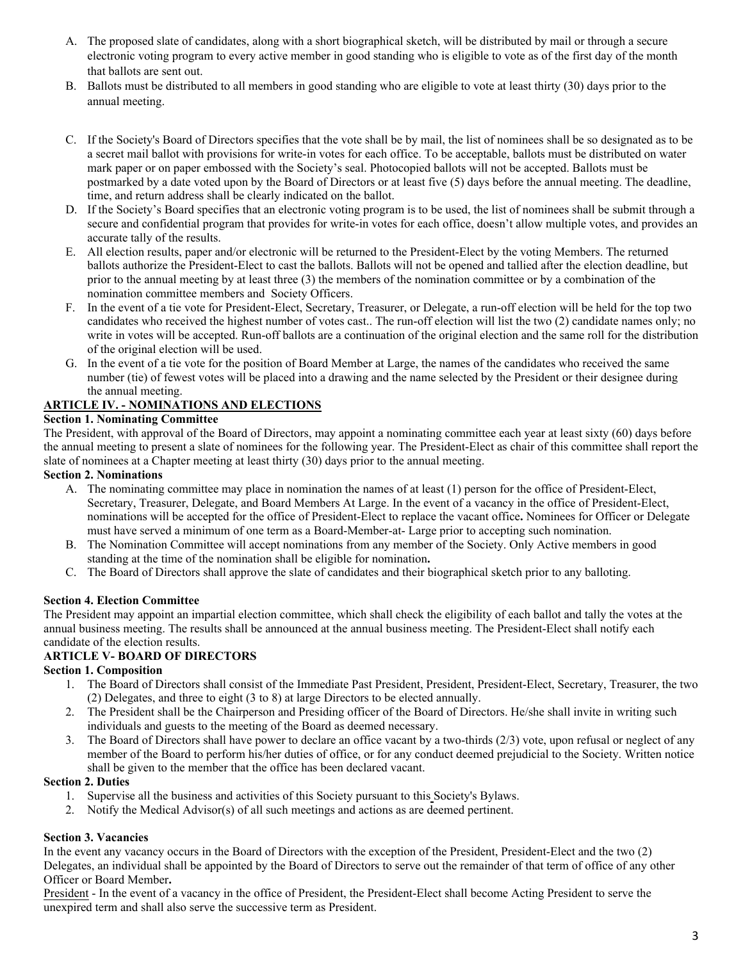- A. The proposed slate of candidates, along with a short biographical sketch, will be distributed by mail or through a secure electronic voting program to every active member in good standing who is eligible to vote as of the first day of the month that ballots are sent out.
- B. Ballots must be distributed to all members in good standing who are eligible to vote at least thirty (30) days prior to the annual meeting.
- C. If the Society's Board of Directors specifies that the vote shall be by mail, the list of nominees shall be so designated as to be a secret mail ballot with provisions for write-in votes for each office. To be acceptable, ballots must be distributed on water mark paper or on paper embossed with the Society's seal. Photocopied ballots will not be accepted. Ballots must be postmarked by a date voted upon by the Board of Directors or at least five (5) days before the annual meeting. The deadline, time, and return address shall be clearly indicated on the ballot.
- D. If the Society's Board specifies that an electronic voting program is to be used, the list of nominees shall be submit through a secure and confidential program that provides for write-in votes for each office, doesn't allow multiple votes, and provides an accurate tally of the results.
- E. All election results, paper and/or electronic will be returned to the President-Elect by the voting Members. The returned ballots authorize the President-Elect to cast the ballots. Ballots will not be opened and tallied after the election deadline, but prior to the annual meeting by at least three (3) the members of the nomination committee or by a combination of the nomination committee members and Society Officers.
- F. In the event of a tie vote for President-Elect, Secretary, Treasurer, or Delegate, a run-off election will be held for the top two candidates who received the highest number of votes cast.. The run-off election will list the two (2) candidate names only; no write in votes will be accepted. Run-off ballots are a continuation of the original election and the same roll for the distribution of the original election will be used.
- G. In the event of a tie vote for the position of Board Member at Large, the names of the candidates who received the same number (tie) of fewest votes will be placed into a drawing and the name selected by the President or their designee during the annual meeting.

## **ARTICLE IV. - NOMINATIONS AND ELECTIONS**

## **Section 1. Nominating Committee**

The President, with approval of the Board of Directors, may appoint a nominating committee each year at least sixty (60) days before the annual meeting to present a slate of nominees for the following year. The President-Elect as chair of this committee shall report the slate of nominees at a Chapter meeting at least thirty (30) days prior to the annual meeting.

### **Section 2. Nominations**

- A. The nominating committee may place in nomination the names of at least (1) person for the office of President-Elect, Secretary, Treasurer, Delegate, and Board Members At Large. In the event of a vacancy in the office of President-Elect, nominations will be accepted for the office of President-Elect to replace the vacant office**.** Nominees for Officer or Delegate must have served a minimum of one term as a Board-Member-at- Large prior to accepting such nomination.
- B. The Nomination Committee will accept nominations from any member of the Society. Only Active members in good standing at the time of the nomination shall be eligible for nomination**.**
- C. The Board of Directors shall approve the slate of candidates and their biographical sketch prior to any balloting.

## **Section 4. Election Committee**

The President may appoint an impartial election committee, which shall check the eligibility of each ballot and tally the votes at the annual business meeting. The results shall be announced at the annual business meeting. The President-Elect shall notify each candidate of the election results.

## **ARTICLE V- BOARD OF DIRECTORS**

## **Section 1. Composition**

- 1. The Board of Directors shall consist of the Immediate Past President, President, President-Elect, Secretary, Treasurer, the two (2) Delegates, and three to eight (3 to 8) at large Directors to be elected annually.
- 2. The President shall be the Chairperson and Presiding officer of the Board of Directors. He/she shall invite in writing such individuals and guests to the meeting of the Board as deemed necessary.
- 3. The Board of Directors shall have power to declare an office vacant by a two-thirds (2/3) vote, upon refusal or neglect of any member of the Board to perform his/her duties of office, or for any conduct deemed prejudicial to the Society. Written notice shall be given to the member that the office has been declared vacant.

#### **Section 2. Duties**

- 1. Supervise all the business and activities of this Society pursuant to this Society's Bylaws.
- 2. Notify the Medical Advisor(s) of all such meetings and actions as are deemed pertinent.

## **Section 3. Vacancies**

In the event any vacancy occurs in the Board of Directors with the exception of the President, President-Elect and the two (2) Delegates, an individual shall be appointed by the Board of Directors to serve out the remainder of that term of office of any other Officer or Board Member**.**

President - In the event of a vacancy in the office of President, the President-Elect shall become Acting President to serve the unexpired term and shall also serve the successive term as President.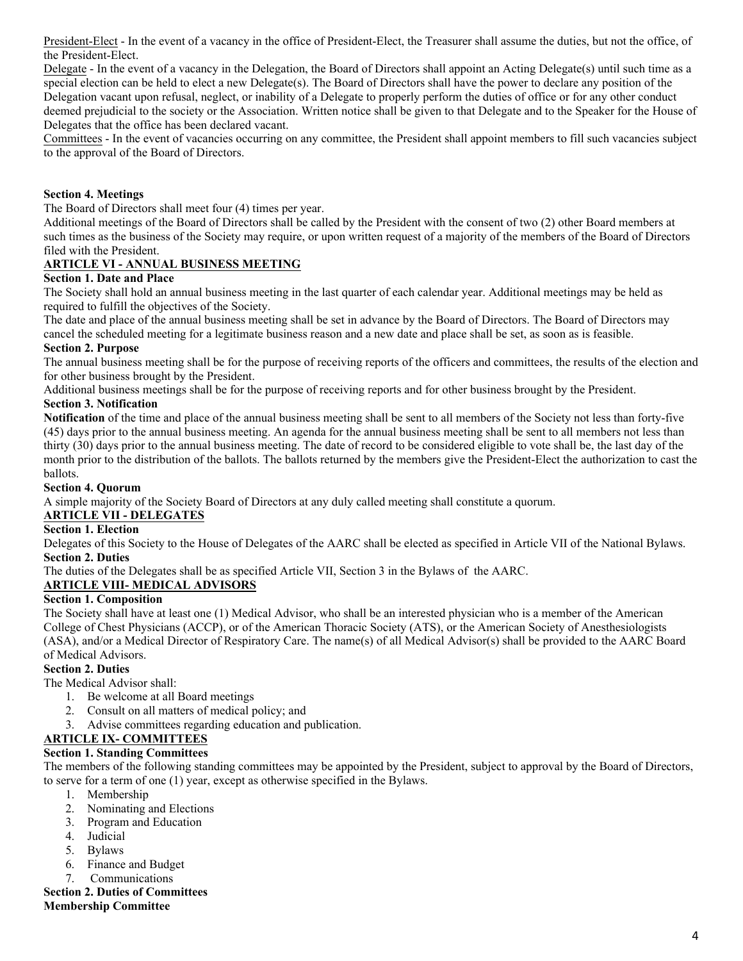President-Elect - In the event of a vacancy in the office of President-Elect, the Treasurer shall assume the duties, but not the office, of the President-Elect.

Delegate - In the event of a vacancy in the Delegation, the Board of Directors shall appoint an Acting Delegate(s) until such time as a special election can be held to elect a new Delegate(s). The Board of Directors shall have the power to declare any position of the Delegation vacant upon refusal, neglect, or inability of a Delegate to properly perform the duties of office or for any other conduct deemed prejudicial to the society or the Association. Written notice shall be given to that Delegate and to the Speaker for the House of Delegates that the office has been declared vacant.

Committees - In the event of vacancies occurring on any committee, the President shall appoint members to fill such vacancies subject to the approval of the Board of Directors.

### **Section 4. Meetings**

The Board of Directors shall meet four (4) times per year.

Additional meetings of the Board of Directors shall be called by the President with the consent of two (2) other Board members at such times as the business of the Society may require, or upon written request of a majority of the members of the Board of Directors filed with the President.

## **ARTICLE VI - ANNUAL BUSINESS MEETING**

#### **Section 1. Date and Place**

The Society shall hold an annual business meeting in the last quarter of each calendar year. Additional meetings may be held as required to fulfill the objectives of the Society.

The date and place of the annual business meeting shall be set in advance by the Board of Directors. The Board of Directors may cancel the scheduled meeting for a legitimate business reason and a new date and place shall be set, as soon as is feasible.

#### **Section 2. Purpose**

The annual business meeting shall be for the purpose of receiving reports of the officers and committees, the results of the election and for other business brought by the President.

Additional business meetings shall be for the purpose of receiving reports and for other business brought by the President.

#### **Section 3. Notification**

**Notification** of the time and place of the annual business meeting shall be sent to all members of the Society not less than forty-five (45) days prior to the annual business meeting. An agenda for the annual business meeting shall be sent to all members not less than thirty (30) days prior to the annual business meeting. The date of record to be considered eligible to vote shall be, the last day of the month prior to the distribution of the ballots. The ballots returned by the members give the President-Elect the authorization to cast the ballots.

#### **Section 4. Quorum**

A simple majority of the Society Board of Directors at any duly called meeting shall constitute a quorum.

## **ARTICLE VII - DELEGATES**

#### **Section 1. Election**

Delegates of this Society to the House of Delegates of the AARC shall be elected as specified in Article VII of the National Bylaws. **Section 2. Duties**

The duties of the Delegates shall be as specified Article VII, Section 3 in the Bylaws of the AARC.

#### **ARTICLE VIII- MEDICAL ADVISORS**

#### **Section 1. Composition**

The Society shall have at least one (1) Medical Advisor, who shall be an interested physician who is a member of the American College of Chest Physicians (ACCP), or of the American Thoracic Society (ATS), or the American Society of Anesthesiologists (ASA), and/or a Medical Director of Respiratory Care. The name(s) of all Medical Advisor(s) shall be provided to the AARC Board of Medical Advisors.

#### **Section 2. Duties**

The Medical Advisor shall:

- 1. Be welcome at all Board meetings
- 2. Consult on all matters of medical policy; and
- 3. Advise committees regarding education and publication.

# **ARTICLE IX- COMMITTEES**

**Section 1. Standing Committees**

The members of the following standing committees may be appointed by the President, subject to approval by the Board of Directors, to serve for a term of one (1) year, except as otherwise specified in the Bylaws.

- 1. Membership
- 2. Nominating and Elections
- 3. Program and Education
- 4. Judicial
- 5. Bylaws
- 6. Finance and Budget
- 7. Communications

**Section 2. Duties of Committees**

**Membership Committee**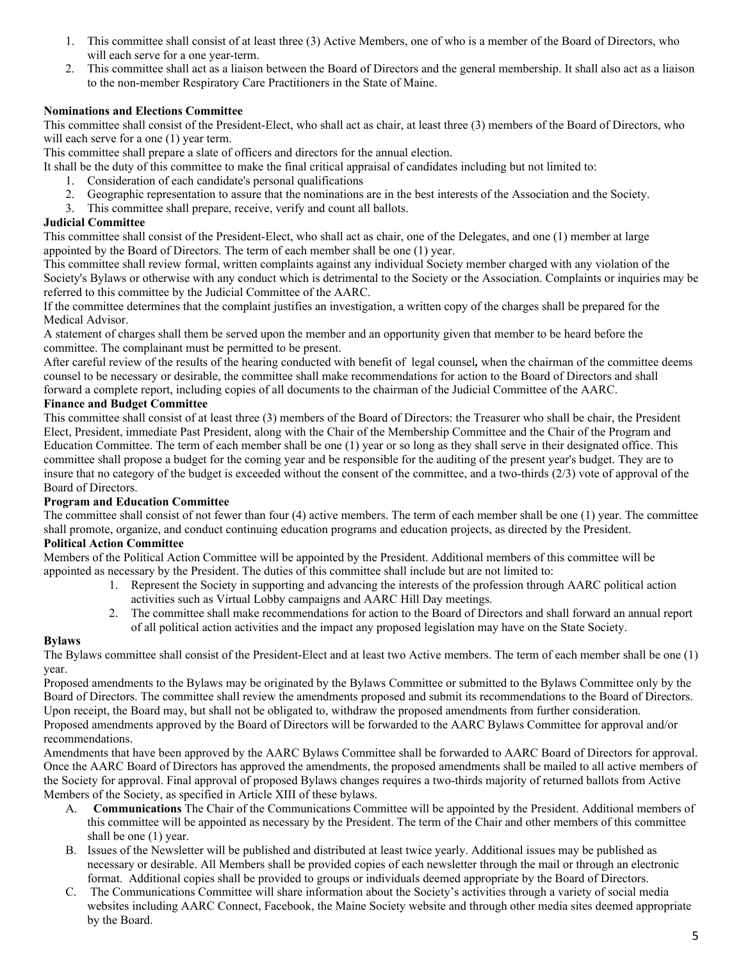- 1. This committee shall consist of at least three (3) Active Members, one of who is a member of the Board of Directors, who will each serve for a one year-term.
- 2. This committee shall act as a liaison between the Board of Directors and the general membership. It shall also act as a liaison to the non-member Respiratory Care Practitioners in the State of Maine.

## **Nominations and Elections Committee**

This committee shall consist of the President-Elect, who shall act as chair, at least three (3) members of the Board of Directors, who will each serve for a one  $(1)$  year term.

This committee shall prepare a slate of officers and directors for the annual election.

It shall be the duty of this committee to make the final critical appraisal of candidates including but not limited to:

- 1. Consideration of each candidate's personal qualifications
- 2. Geographic representation to assure that the nominations are in the best interests of the Association and the Society.
- 3. This committee shall prepare, receive, verify and count all ballots.

## **Judicial Committee**

This committee shall consist of the President-Elect, who shall act as chair, one of the Delegates, and one (1) member at large appointed by the Board of Directors. The term of each member shall be one (1) year.

This committee shall review formal, written complaints against any individual Society member charged with any violation of the Society's Bylaws or otherwise with any conduct which is detrimental to the Society or the Association. Complaints or inquiries may be referred to this committee by the Judicial Committee of the AARC.

If the committee determines that the complaint justifies an investigation, a written copy of the charges shall be prepared for the Medical Advisor.

A statement of charges shall them be served upon the member and an opportunity given that member to be heard before the committee. The complainant must be permitted to be present.

After careful review of the results of the hearing conducted with benefit of legal counsel*,* when the chairman of the committee deems counsel to be necessary or desirable, the committee shall make recommendations for action to the Board of Directors and shall forward a complete report, including copies of all documents to the chairman of the Judicial Committee of the AARC.

### **Finance and Budget Committee**

This committee shall consist of at least three (3) members of the Board of Directors: the Treasurer who shall be chair, the President Elect, President, immediate Past President, along with the Chair of the Membership Committee and the Chair of the Program and Education Committee. The term of each member shall be one (1) year or so long as they shall serve in their designated office. This committee shall propose a budget for the coming year and be responsible for the auditing of the present year's budget. They are to insure that no category of the budget is exceeded without the consent of the committee, and a two-thirds (2/3) vote of approval of the Board of Directors.

#### **Program and Education Committee**

The committee shall consist of not fewer than four (4) active members. The term of each member shall be one (1) year. The committee shall promote, organize, and conduct continuing education programs and education projects, as directed by the President.

#### **Political Action Committee**

Members of the Political Action Committee will be appointed by the President. Additional members of this committee will be appointed as necessary by the President. The duties of this committee shall include but are not limited to:

- 1. Represent the Society in supporting and advancing the interests of the profession through AARC political action activities such as Virtual Lobby campaigns and AARC Hill Day meetings.
- 2. The committee shall make recommendations for action to the Board of Directors and shall forward an annual report of all political action activities and the impact any proposed legislation may have on the State Society.

## **Bylaws**

The Bylaws committee shall consist of the President-Elect and at least two Active members. The term of each member shall be one (1) year.

Proposed amendments to the Bylaws may be originated by the Bylaws Committee or submitted to the Bylaws Committee only by the Board of Directors. The committee shall review the amendments proposed and submit its recommendations to the Board of Directors. Upon receipt, the Board may, but shall not be obligated to, withdraw the proposed amendments from further consideration.

Proposed amendments approved by the Board of Directors will be forwarded to the AARC Bylaws Committee for approval and/or recommendations.

Amendments that have been approved by the AARC Bylaws Committee shall be forwarded to AARC Board of Directors for approval. Once the AARC Board of Directors has approved the amendments, the proposed amendments shall be mailed to all active members of the Society for approval. Final approval of proposed Bylaws changes requires a two-thirds majority of returned ballots from Active Members of the Society, as specified in Article XIII of these bylaws.

- A. **Communications** The Chair of the Communications Committee will be appointed by the President. Additional members of this committee will be appointed as necessary by the President. The term of the Chair and other members of this committee shall be one (1) year.
- B. Issues of the Newsletter will be published and distributed at least twice yearly. Additional issues may be published as necessary or desirable. All Members shall be provided copies of each newsletter through the mail or through an electronic format. Additional copies shall be provided to groups or individuals deemed appropriate by the Board of Directors.
- C. The Communications Committee will share information about the Society's activities through a variety of social media websites including AARC Connect, Facebook, the Maine Society website and through other media sites deemed appropriate by the Board.